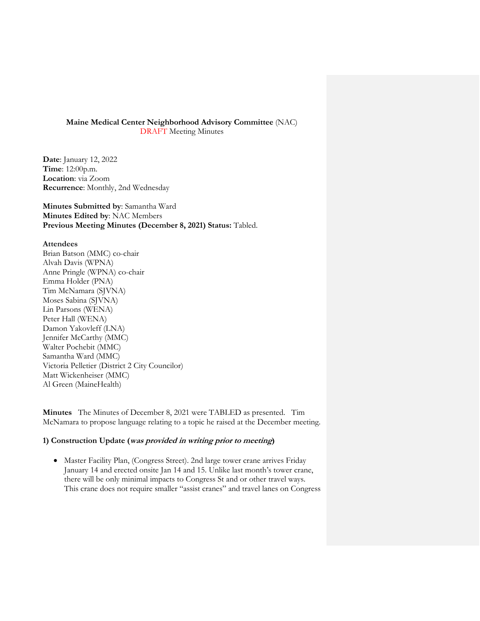### **Maine Medical Center Neighborhood Advisory Committee** (NAC) DRAFT Meeting Minutes

**Date**: January 12, 2022 **Time**: 12:00p.m. **Location**: via Zoom **Recurrence**: Monthly, 2nd Wednesday

**Minutes Submitted by**: Samantha Ward **Minutes Edited by**: NAC Members **Previous Meeting Minutes (December 8, 2021) Status:** Tabled.

### **Attendees**

Brian Batson (MMC) co-chair Alvah Davis (WPNA) Anne Pringle (WPNA) co-chair Emma Holder (PNA) Tim McNamara (SJVNA) Moses Sabina (SJVNA) Lin Parsons (WENA) Peter Hall (WENA) Damon Yakovleff (LNA) Jennifer McCarthy (MMC) Walter Pochebit (MMC) Samantha Ward (MMC) Victoria Pelletier (District 2 City Councilor) Matt Wickenheiser (MMC) Al Green (MaineHealth)

**Minutes** The Minutes of December 8, 2021 were TABLED as presented. Tim McNamara to propose language relating to a topic he raised at the December meeting.

# **1) Construction Update (was provided in writing prior to meeting)**

 Master Facility Plan, (Congress Street). 2nd large tower crane arrives Friday January 14 and erected onsite Jan 14 and 15. Unlike last month's tower crane, there will be only minimal impacts to Congress St and or other travel ways. This crane does not require smaller "assist cranes" and travel lanes on Congress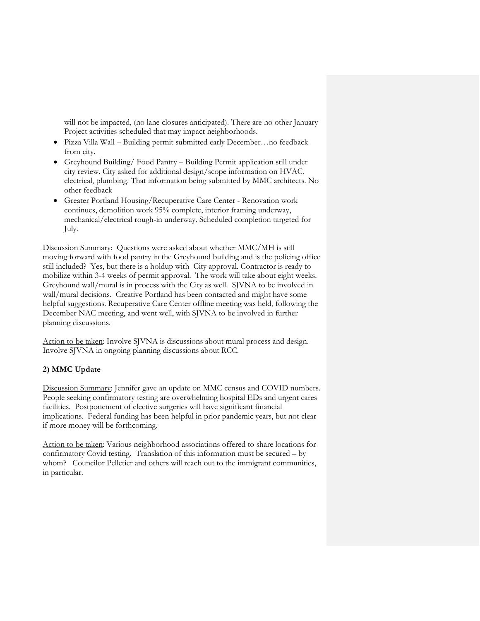will not be impacted, (no lane closures anticipated). There are no other January Project activities scheduled that may impact neighborhoods.

- Pizza Villa Wall Building permit submitted early December…no feedback from city.
- Greyhound Building/ Food Pantry Building Permit application still under city review. City asked for additional design/scope information on HVAC, electrical, plumbing. That information being submitted by MMC architects. No other feedback
- Greater Portland Housing/Recuperative Care Center Renovation work continues, demolition work 95% complete, interior framing underway, mechanical/electrical rough-in underway. Scheduled completion targeted for July.

Discussion Summary: Questions were asked about whether MMC/MH is still moving forward with food pantry in the Greyhound building and is the policing office still included? Yes, but there is a holdup with City approval. Contractor is ready to mobilize within 3-4 weeks of permit approval. The work will take about eight weeks. Greyhound wall/mural is in process with the City as well. SJVNA to be involved in wall/mural decisions. Creative Portland has been contacted and might have some helpful suggestions. Recuperative Care Center offline meeting was held, following the December NAC meeting, and went well, with SJVNA to be involved in further planning discussions.

Action to be taken: Involve SJVNA is discussions about mural process and design. Involve SJVNA in ongoing planning discussions about RCC.

# **2) MMC Update**

Discussion Summary: Jennifer gave an update on MMC census and COVID numbers. People seeking confirmatory testing are overwhelming hospital EDs and urgent cares facilities. Postponement of elective surgeries will have significant financial implications. Federal funding has been helpful in prior pandemic years, but not clear if more money will be forthcoming.

Action to be taken: Various neighborhood associations offered to share locations for confirmatory Covid testing. Translation of this information must be secured – by whom? Councilor Pelletier and others will reach out to the immigrant communities, in particular.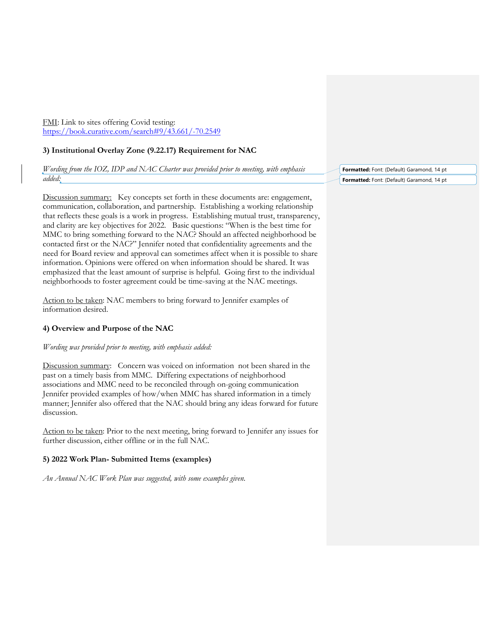FMI: Link to sites offering Covid testing: <https://book.curative.com/search#9/43.661/-70.2549>

### **3) Institutional Overlay Zone (9.22.17) Requirement for NAC**

*Wording from the IOZ, IDP and NAC Charter was provided prior to meeting, with emphasis added:* 

Discussion summary: Key concepts set forth in these documents are: engagement, communication, collaboration, and partnership. Establishing a working relationship that reflects these goals is a work in progress. Establishing mutual trust, transparency, and clarity are key objectives for 2022. Basic questions: "When is the best time for MMC to bring something forward to the NAC? Should an affected neighborhood be contacted first or the NAC?" Jennifer noted that confidentiality agreements and the need for Board review and approval can sometimes affect when it is possible to share information. Opinions were offered on when information should be shared. It was emphasized that the least amount of surprise is helpful. Going first to the individual neighborhoods to foster agreement could be time-saving at the NAC meetings.

Action to be taken: NAC members to bring forward to Jennifer examples of information desired.

### **4) Overview and Purpose of the NAC**

#### *Wording was provided prior to meeting, with emphasis added:*

Discussion summary: Concern was voiced on information not been shared in the past on a timely basis from MMC. Differing expectations of neighborhood associations and MMC need to be reconciled through on-going communication Jennifer provided examples of how/when MMC has shared information in a timely manner; Jennifer also offered that the NAC should bring any ideas forward for future discussion.

Action to be taken: Prior to the next meeting, bring forward to Jennifer any issues for further discussion, either offline or in the full NAC.

#### **5) 2022 Work Plan- Submitted Items (examples)**

*An Annual NAC Work Plan was suggested, with some examples given.*

**Formatted:** Font: (Default) Garamond, 14 pt **Formatted:** Font: (Default) Garamond, 14 pt